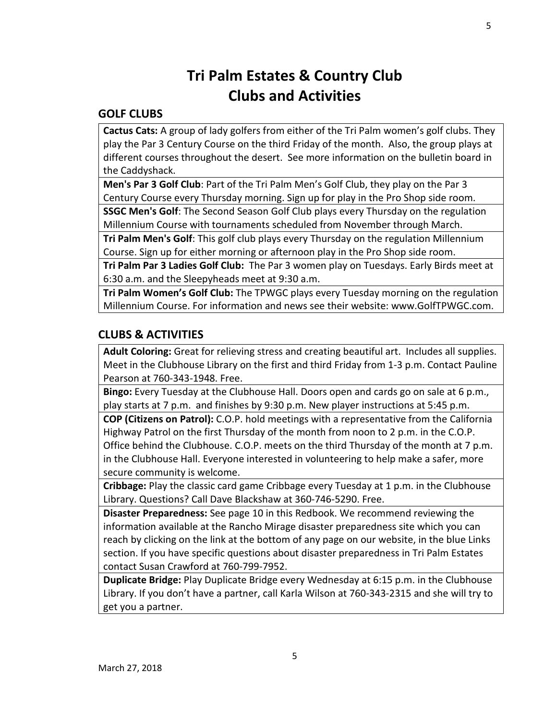## **Tri Palm Estates & Country Club Clubs and Activities**

## **GOLF CLUBS**

**Cactus Cats:** A group of lady golfers from either of the Tri Palm women's golf clubs. They play the Par 3 Century Course on the third Friday of the month. Also, the group plays at different courses throughout the desert. See more information on the bulletin board in the Caddyshack.

**Men's Par 3 Golf Club**: Part of the Tri Palm Men's Golf Club, they play on the Par 3 Century Course every Thursday morning. Sign up for play in the Pro Shop side room.

**SSGC Men's Golf**: The Second Season Golf Club plays every Thursday on the regulation Millennium Course with tournaments scheduled from November through March.

**Tri Palm Men's Golf**: This golf club plays every Thursday on the regulation Millennium Course. Sign up for either morning or afternoon play in the Pro Shop side room.

**Tri Palm Par 3 Ladies Golf Club:** The Par 3 women play on Tuesdays. Early Birds meet at 6:30 a.m. and the Sleepyheads meet at 9:30 a.m.

**Tri Palm Women's Golf Club:** The TPWGC plays every Tuesday morning on the regulation Millennium Course. For information and news see their website: [www.GolfTPWGC.com.](http://www.golftpwgc.com/)

## **CLUBS & ACTIVITIES**

**Adult Coloring:** Great for relieving stress and creating beautiful art. Includes all supplies. Meet in the Clubhouse Library on the first and third Friday from 1-3 p.m. Contact Pauline Pearson at 760-343-1948. Free.

**Bingo:** Every Tuesday at the Clubhouse Hall. Doors open and cards go on sale at 6 p.m., play starts at 7 p.m. and finishes by 9:30 p.m. New player instructions at 5:45 p.m.

**COP (Citizens on Patrol):** C.O.P. hold meetings with a representative from the California Highway Patrol on the first Thursday of the month from noon to 2 p.m. in the C.O.P. Office behind the Clubhouse. C.O.P. meets on the third Thursday of the month at 7 p.m. in the Clubhouse Hall. Everyone interested in volunteering to help make a safer, more secure community is welcome.

**Cribbage:** Play the classic card game Cribbage every Tuesday at 1 p.m. in the Clubhouse Library. Questions? Call Dave Blackshaw at 360-746-5290. Free.

**Disaster Preparedness:** See page 10 in this Redbook. We recommend reviewing the information available at the Rancho Mirage disaster preparedness site which you can reach by clicking on the link at the bottom of any page on our website, in the blue Links section. If you have specific questions about disaster preparedness in Tri Palm Estates contact Susan Crawford at 760-799-7952.

**Duplicate Bridge:** Play Duplicate Bridge every Wednesday at 6:15 p.m. in the Clubhouse Library. If you don't have a partner, call Karla Wilson at 760-343-2315 and she will try to get you a partner.